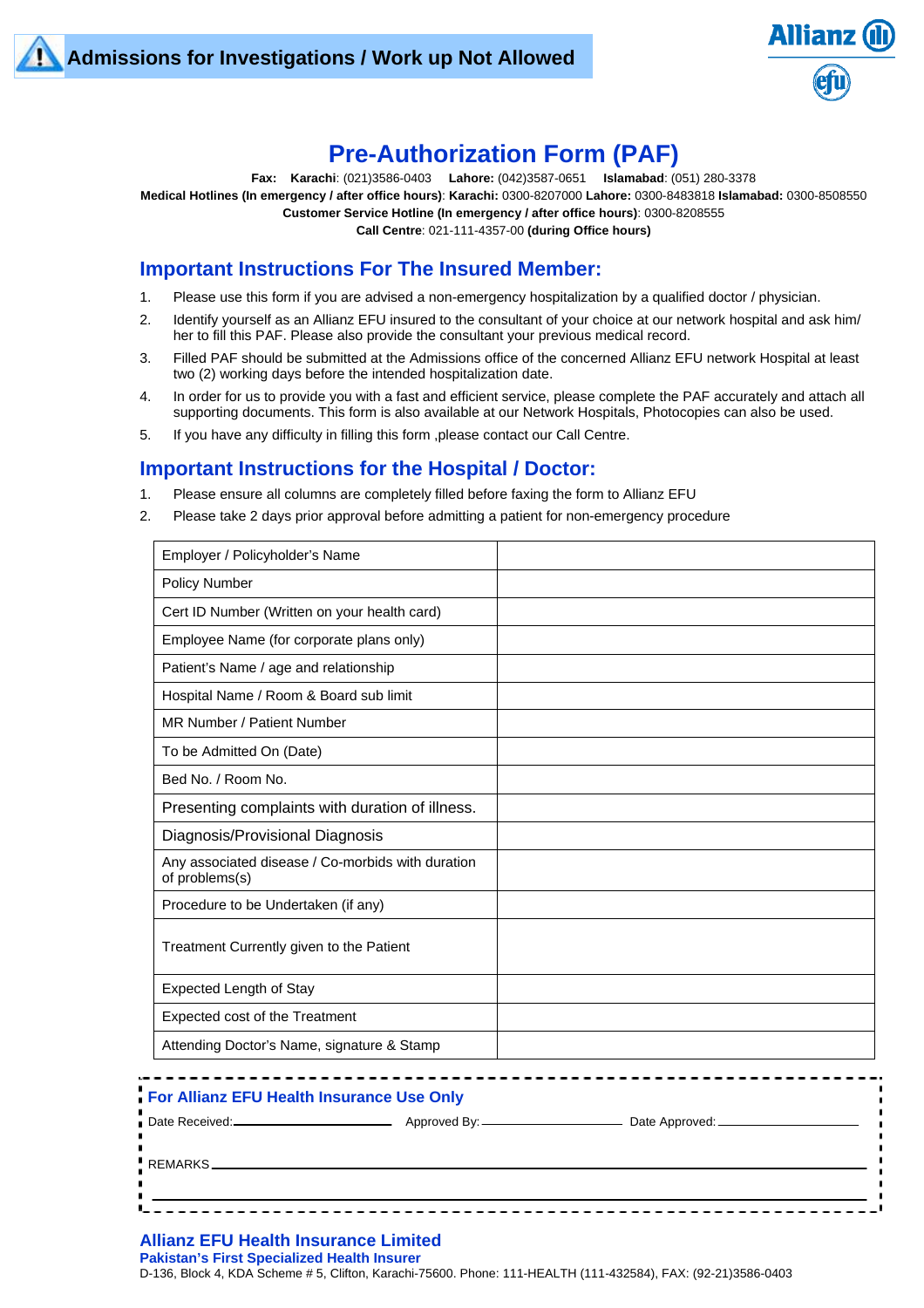

# **Pre-Authorization Form (PAF)**

**Fax: Karachi**: (021)3586-0403 **Lahore:** (042)3587-0651 **Islamabad**: (051) 280-3378 **Medical Hotlines (In emergency / after office hours)**: **Karachi:** 0300-8207000 **Lahore:** 0300-8483818 **Islamabad:** 0300-8508550 **Customer Service Hotline (In emergency / after office hours)**: 0300-8208555 **Call Centre**: 021-111-4357-00 **(during Office hours)**

## **Important Instructions For The Insured Member:**

- 1. Please use this form if you are advised a non-emergency hospitalization by a qualified doctor / physician.
- 2. Identify yourself as an Allianz EFU insured to the consultant of your choice at our network hospital and ask him/ her to fill this PAF. Please also provide the consultant your previous medical record.
- 3. Filled PAF should be submitted at the Admissions office of the concerned Allianz EFU network Hospital at least two (2) working days before the intended hospitalization date.
- 4. In order for us to provide you with a fast and efficient service, please complete the PAF accurately and attach all supporting documents. This form is also available at our Network Hospitals, Photocopies can also be used.
- 5. If you have any difficulty in filling this form ,please contact our Call Centre.

## **Important Instructions for the Hospital / Doctor:**

- 1. Please ensure all columns are completely filled before faxing the form to Allianz EFU
- 2. Please take 2 days prior approval before admitting a patient for non-emergency procedure

| Employer / Policyholder's Name                                      |  |
|---------------------------------------------------------------------|--|
| <b>Policy Number</b>                                                |  |
| Cert ID Number (Written on your health card)                        |  |
| Employee Name (for corporate plans only)                            |  |
| Patient's Name / age and relationship                               |  |
| Hospital Name / Room & Board sub limit                              |  |
| MR Number / Patient Number                                          |  |
| To be Admitted On (Date)                                            |  |
| Bed No. / Room No.                                                  |  |
| Presenting complaints with duration of illness.                     |  |
| Diagnosis/Provisional Diagnosis                                     |  |
| Any associated disease / Co-morbids with duration<br>of problems(s) |  |
| Procedure to be Undertaken (if any)                                 |  |
| Treatment Currently given to the Patient                            |  |
| <b>Expected Length of Stay</b>                                      |  |
| Expected cost of the Treatment                                      |  |
| Attending Doctor's Name, signature & Stamp                          |  |

| For Allianz EFU Health Insurance Use Only    |                              |  |
|----------------------------------------------|------------------------------|--|
|                                              | Date Approved: _____________ |  |
| $\sqrt{\phantom{a}R}$ REMARKS ______________ |                              |  |
|                                              |                              |  |

#### **Allianz EFU Health Insurance Limited**

**Pakistan's First Specialized Health Insurer** 

D-136, Block 4, KDA Scheme # 5, Clifton, Karachi-75600. Phone: 111-HEALTH (111-432584), FAX: (92-21)3586-0403